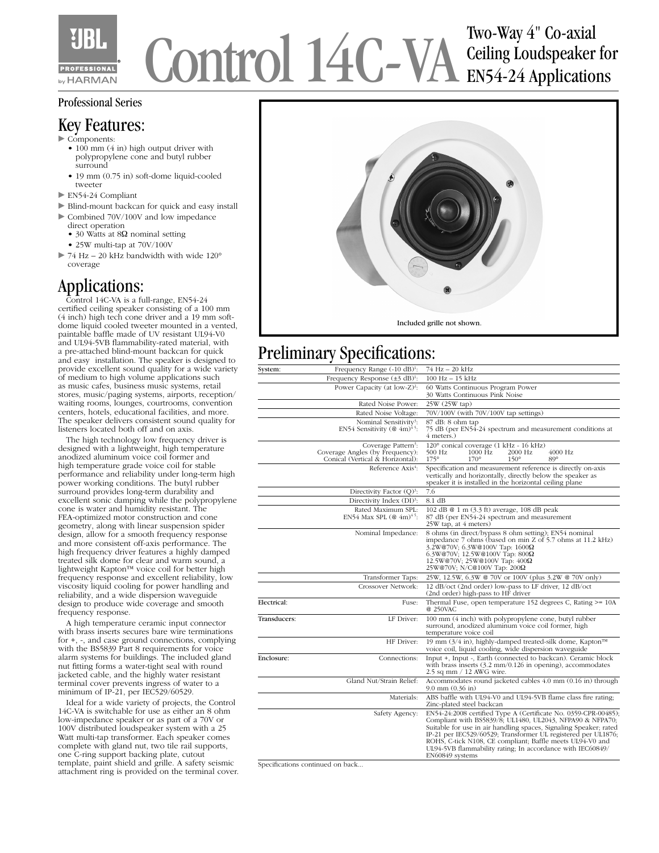

# Control 14C-VA Two-Way 4" Co-axial Ceiling Loudspeaker for EN54-24 Applications

#### Professional Series

#### Key Features:

- $\triangleright$  Components:
	- 100 mm (4 in) high output driver with polypropylene cone and butyl rubber surround
	- 19 mm (0.75 in) soft-dome liquid-cooled tweeter
- $\blacktriangleright$  EN54-24 Compliant
- $\blacktriangleright$  Blind-mount backcan for quick and easy install  $\triangleright$  Combined 70V/100V and low impedance
	- direct operation • 30 Watts at 8Ω nominal setting
	- 25W multi-tap at 70V/100V
- $>$  74 Hz 20 kHz bandwidth with wide 120° coverage

### Applications:

 Control 14C-VA is a full-range, EN54-24 certified ceiling speaker consisting of a 100 mm (4 inch) high tech cone driver and a 19 mm softdome liquid cooled tweeter mounted in a vented, paintable baffle made of UV resistant UL94-V0 and UL94-5VB flammability-rated material, with a pre-attached blind-mount backcan for quick and easy installation. The speaker is designed to provide excellent sound quality for a wide variety of medium to high volume applications such as music cafes, business music systems, retail stores, music/paging systems, airports, reception/ waiting rooms, lounges, courtrooms, convention centers, hotels, educational facilities, and more. The speaker delivers consistent sound quality for listeners located both off and on axis.

 The high technology low frequency driver is designed with a lightweight, high temperature anodized aluminum voice coil former and high temperature grade voice coil for stable performance and reliability under long-term high power working conditions. The butyl rubber surround provides long-term durability and excellent sonic damping while the polypropylene cone is water and humidity resistant. The FEA-optimized motor construction and cone geometry, along with linear suspension spider design, allow for a smooth frequency response and more consistent off-axis performance. The high frequency driver features a highly damped treated silk dome for clear and warm sound, a lightweight Kapton™ voice coil for better high frequency response and excellent reliability, low viscosity liquid cooling for power handling and reliability, and a wide dispersion waveguide design to produce wide coverage and smooth frequency response.

 A high temperature ceramic input connector with brass inserts secures bare wire terminations for +, -, and case ground connections, complying with the BS5839 Part 8 requirements for voice alarm systems for buildings. The included gland nut fitting forms a water-tight seal with round jacketed cable, and the highly water resistant terminal cover prevents ingress of water to a minimum of IP-21, per IEC529/60529.

 Ideal for a wide variety of projects, the Control 14C-VA is switchable for use as either an 8 ohm low-impedance speaker or as part of a 70V or 100V distributed loudspeaker system with a 25 Watt multi-tap transformer. Each speaker comes complete with gland nut, two tile rail supports, one C-ring support backing plate, cutout template, paint shield and grille. A safety seismic attachment ring is provided on the terminal cover.



## Preliminary Specifications:

| System:      | Frequency Range $(-10 \text{ dB})^1$ :                                                                 | 74 Hz - 20 kHz                                                                                                                                                                                                                                                                                                                                                                                                   |  |
|--------------|--------------------------------------------------------------------------------------------------------|------------------------------------------------------------------------------------------------------------------------------------------------------------------------------------------------------------------------------------------------------------------------------------------------------------------------------------------------------------------------------------------------------------------|--|
|              | Frequency Response $(\pm 3 \text{ dB})^1$ :                                                            | $100 Hz - 15 kHz$                                                                                                                                                                                                                                                                                                                                                                                                |  |
|              | Power Capacity (at low- $Z$ ) <sup>2</sup> :                                                           | 60 Watts Continuous Program Power<br>30 Watts Continuous Pink Noise                                                                                                                                                                                                                                                                                                                                              |  |
|              | Rated Noise Power:                                                                                     | 25W (25W tap)                                                                                                                                                                                                                                                                                                                                                                                                    |  |
|              | Rated Noise Voltage:                                                                                   | 70V/100V (with 70V/100V tap settings)                                                                                                                                                                                                                                                                                                                                                                            |  |
|              | Nominal Sensitivity <sup>3</sup> :<br>EN54 Sensitivity (@ $4m$ ) <sup>45</sup> :                       | 87 dB: 8 ohm tap<br>75 dB (per EN54-24 spectrum and measurement conditions at<br>4 meters.)                                                                                                                                                                                                                                                                                                                      |  |
|              | Coverage Pattern <sup>3</sup> :<br>Coverage Angles (by Frequency):<br>Conical (Vertical & Horizontal): | 120° conical coverage (1 kHz - 16 kHz)<br>500 Hz<br>1000 Hz<br>2000 Hz<br>$4000$ Hz<br>$170^\circ$<br>$150^\circ$<br>$175^\circ$<br>$89^\circ$                                                                                                                                                                                                                                                                   |  |
|              | Reference Axis <sup>4</sup> :                                                                          | Specification and measurement reference is directly on-axis<br>vertically and horizontally, directly below the speaker as<br>speaker it is installed in the horizontal ceiling plane                                                                                                                                                                                                                             |  |
|              | Directivity Factor $(Q)^3$ :                                                                           | 7.6                                                                                                                                                                                                                                                                                                                                                                                                              |  |
|              | Directivity Index (DI) <sup>3</sup> :                                                                  | $8.1 \text{ dB}$                                                                                                                                                                                                                                                                                                                                                                                                 |  |
|              | Rated Maximum SPL:<br>EN54 Max SPL $(@~4m)^{4.5}$ :                                                    | 102 dB @ 1 m (3.3 ft) average, 108 dB peak<br>87 dB (per EN54-24 spectrum and measurement<br>25W tap, at 4 meters)                                                                                                                                                                                                                                                                                               |  |
|              | Nominal Impedance:                                                                                     | 8 ohms (in direct/bypass 8 ohm setting); EN54 nominal<br>impedance 7 ohms (based on min Z of 5.7 ohms at 11.2 kHz)<br>3.2W@70V; 6.3W@100V Tap: 1600Ω<br>$6.3W@70V$ ; 12.5W@100V Tap: 800 $\Omega$<br>12.5W@70V; 25W@100V Tap: 400Ω<br>$25W@70V$ ; N/C@100V Tap: $200\Omega$                                                                                                                                      |  |
|              | Transformer Taps:                                                                                      | 25W, 12.5W, 6.3W @ 70V or 100V (plus 3.2W @ 70V only)                                                                                                                                                                                                                                                                                                                                                            |  |
|              | Crossover Network:                                                                                     | 12 dB/oct (2nd order) low-pass to LF driver, 12 dB/oct<br>(2nd order) high-pass to HF driver                                                                                                                                                                                                                                                                                                                     |  |
| Electrical:  | Fuse:                                                                                                  | Thermal Fuse, open temperature $152$ degrees C, Rating $>= 10A$<br>@ 250VAC                                                                                                                                                                                                                                                                                                                                      |  |
| Transducers: | LF Driver:                                                                                             | 100 mm (4 inch) with polypropylene cone, butyl rubber<br>surround, anodized aluminum voice coil former, high<br>temperature voice coil                                                                                                                                                                                                                                                                           |  |
|              | HF Driver:                                                                                             | 19 mm (3/4 in), highly-damped treated-silk dome, Kapton™<br>voice coil, liquid cooling, wide dispersion waveguide                                                                                                                                                                                                                                                                                                |  |
| Enclosure:   | Connections:                                                                                           | Input +, Input -, Earth (connected to backcan). Ceramic block<br>with brass inserts (3.2 mm/0.126 in opening), accommodates<br>2.5 sq mm / 12 AWG wire.                                                                                                                                                                                                                                                          |  |
|              | Gland Nut/Strain Relief:                                                                               | Accommodates round jacketed cables 4.0 mm (0.16 in) through<br>$9.0$ mm $(0.36$ in)                                                                                                                                                                                                                                                                                                                              |  |
|              | Materials:                                                                                             | ABS baffle with UL94-V0 and UL94-5VB flame class fire rating;<br>Zinc-plated steel backcan                                                                                                                                                                                                                                                                                                                       |  |
|              | Safety Agency:                                                                                         | EN54-24:2008 certified Type A (Certificate No. 0359-CPR-00485);<br>Compliant with BS5839/8; UL1480, UL2043, NFPA90 & NFPA70;<br>Suitable for use in air handling spaces, Signaling Speaker; rated<br>IP-21 per IEC529/60529; Transformer UL registered per UL1876;<br>ROHS, C-tick N108, CE compliant; Baffle meets UL94-V0 and<br>UL94-5VB flammability rating; In accordance with IEC60849/<br>EN60849 systems |  |

Specifications continued on back...